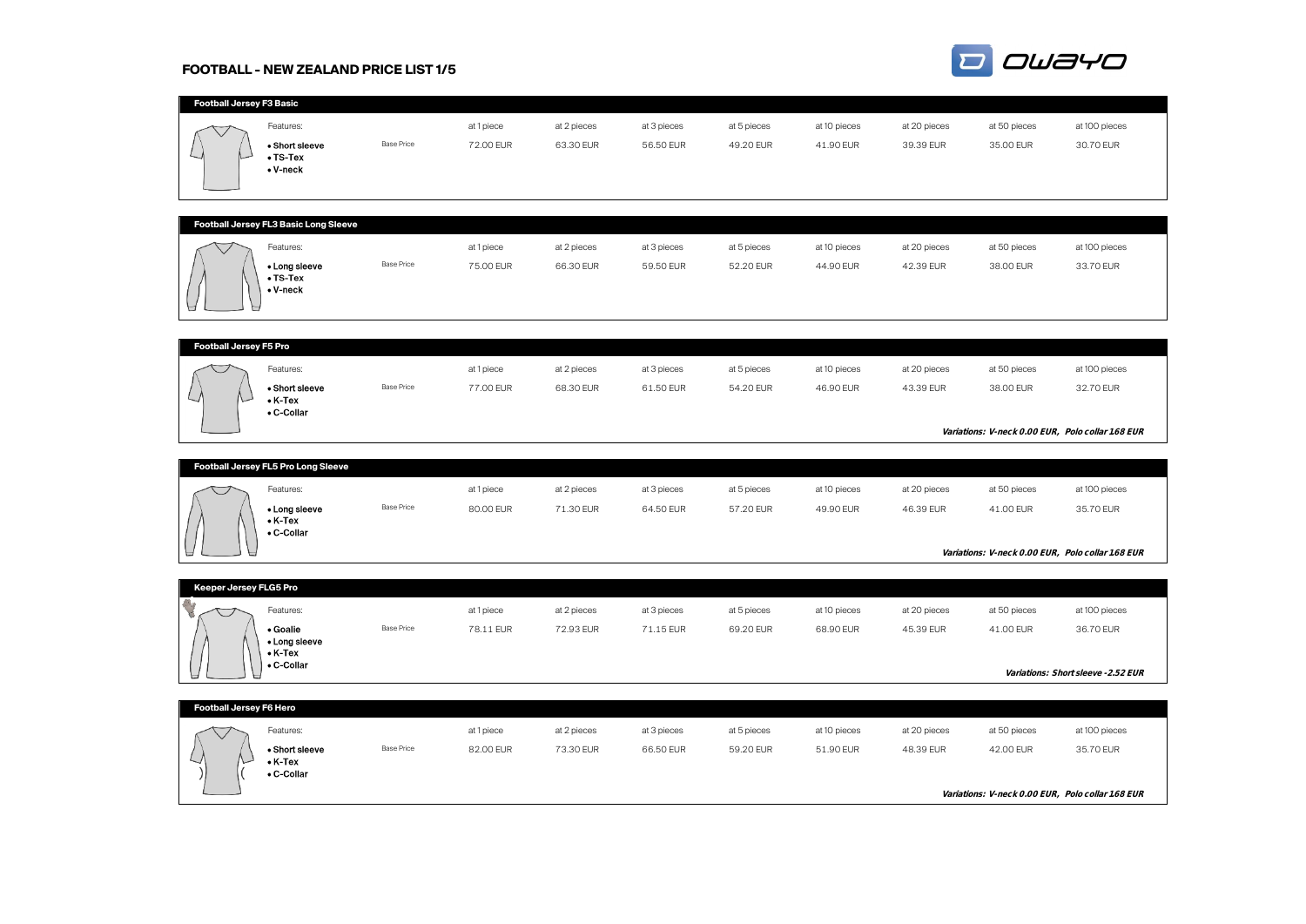# **FOOTBALL - NEW ZEALAND PRICE LIST 1/5**



| Football Jersey F3 Basic |                                                             |                   |                         |                          |                          |                          |                           |                           |                           |                                                   |
|--------------------------|-------------------------------------------------------------|-------------------|-------------------------|--------------------------|--------------------------|--------------------------|---------------------------|---------------------------|---------------------------|---------------------------------------------------|
|                          | Features:<br>• Short sleeve<br>$\bullet$ TS-Tex<br>• V-neck | <b>Base Price</b> | at 1 piece<br>72.00 EUR | at 2 pieces<br>63.30 EUR | at 3 pieces<br>56.50 EUR | at 5 pieces<br>49.20 EUR | at 10 pieces<br>41.90 EUR | at 20 pieces<br>39.39 EUR | at 50 pieces<br>35.00 EUR | at 100 pieces<br>30.70 EUR                        |
|                          |                                                             |                   |                         |                          |                          |                          |                           |                           |                           |                                                   |
|                          | Football Jersey FL3 Basic Long Sleeve                       |                   |                         |                          |                          |                          |                           |                           |                           |                                                   |
|                          | Features:                                                   |                   | at 1 piece              | at 2 pieces              | at 3 pieces              | at 5 pieces              | at 10 pieces              | at 20 pieces              | at 50 pieces              | at 100 pieces                                     |
|                          | • Long sleeve<br>$\bullet$ TS-Tex<br>• V-neck               | <b>Base Price</b> | 75.00 EUR               | 66.30 EUR                | 59.50 EUR                | 52.20 EUR                | 44.90 EUR                 | 42.39 EUR                 | 38.00 EUR                 | 33.70 EUR                                         |
|                          |                                                             |                   |                         |                          |                          |                          |                           |                           |                           |                                                   |
| Football Jersey F5 Pro   | Features:<br>• Short sleeve                                 | <b>Base Price</b> | at 1 piece<br>77.00 EUR | at 2 pieces<br>68.30 EUR | at 3 pieces<br>61.50 EUR | at 5 pieces<br>54.20 EUR | at 10 pieces<br>46.90 EUR | at 20 pieces<br>43.39 EUR | at 50 pieces<br>38.00 EUR | at 100 pieces<br>32.70 EUR                        |
|                          | $\bullet$ K-Tex<br>• C-Collar                               |                   |                         |                          |                          |                          |                           |                           |                           | Variations: V-neck 0.00 EUR, Polo collar 1.68 EUR |
|                          |                                                             |                   |                         |                          |                          |                          |                           |                           |                           |                                                   |
|                          | Football Jersey FL5 Pro Long Sleeve                         |                   |                         |                          |                          |                          |                           |                           |                           |                                                   |
|                          | Features:                                                   |                   | at 1 piece              | at 2 pieces              | at 3 pieces              | at 5 pieces              | at 10 pieces              | at 20 pieces              | at 50 pieces              | at 100 pieces                                     |
|                          | • Long sleeve<br>$\bullet$ K-Tex<br>• C-Collar              | <b>Base Price</b> | 80.00 EUR               | 71.30 EUR                | 64.50 EUR                | 57.20 EUR                | 49.90 EUR                 | 46.39 EUR                 | 41.00 EUR                 | 35.70 EUR                                         |
|                          |                                                             |                   |                         |                          |                          |                          |                           |                           |                           | Variations: V-neck 0.00 EUR, Polo collar 1.68 EUR |
| Keeper Jersey FLG5 Pro   |                                                             |                   |                         |                          |                          |                          |                           |                           |                           |                                                   |
|                          | Features:                                                   |                   | at 1 piece              | at 2 pieces              | at 3 pieces              | at 5 pieces              | at 10 pieces              | at 20 pieces              | at 50 pieces              | at 100 pieces                                     |
|                          | • Goalie                                                    | <b>Base Price</b> | 78.11 EUR               | 72.93 EUR                | 71.15 EUR                | 69.20 EUR                | 68.90 EUR                 | 45.39 EUR                 | 41.00 EUR                 | 36.70 EUR                                         |
|                          | • Long sleeve<br>$\bullet$ K-Tex<br>• C-Collar              |                   |                         |                          |                          |                          |                           |                           |                           | Variations: Short sleeve -2.52 EUR                |
|                          |                                                             |                   |                         |                          |                          |                          |                           |                           |                           |                                                   |
| Football Jersey F6 Hero  |                                                             |                   |                         |                          |                          |                          |                           |                           |                           |                                                   |
|                          | Features:                                                   |                   | at 1 piece              | at 2 pieces              | at 3 pieces              | at 5 pieces              | at 10 pieces              | at 20 pieces              | at 50 pieces              | at 100 pieces                                     |
|                          | • Short sleeve<br>$\bullet$ K-Tex<br>• C-Collar             | <b>Base Price</b> | 82.00 EUR               | 73.30 EUR                | 66.50 EUR                | 59.20 EUR                | 51.90 EUR                 | 48.39 EUR                 | 42.00 EUR                 | 35.70 EUR                                         |
|                          |                                                             |                   |                         |                          |                          |                          |                           |                           |                           | Variations: V-neck 0.00 EUR, Polo collar 1.68 EUR |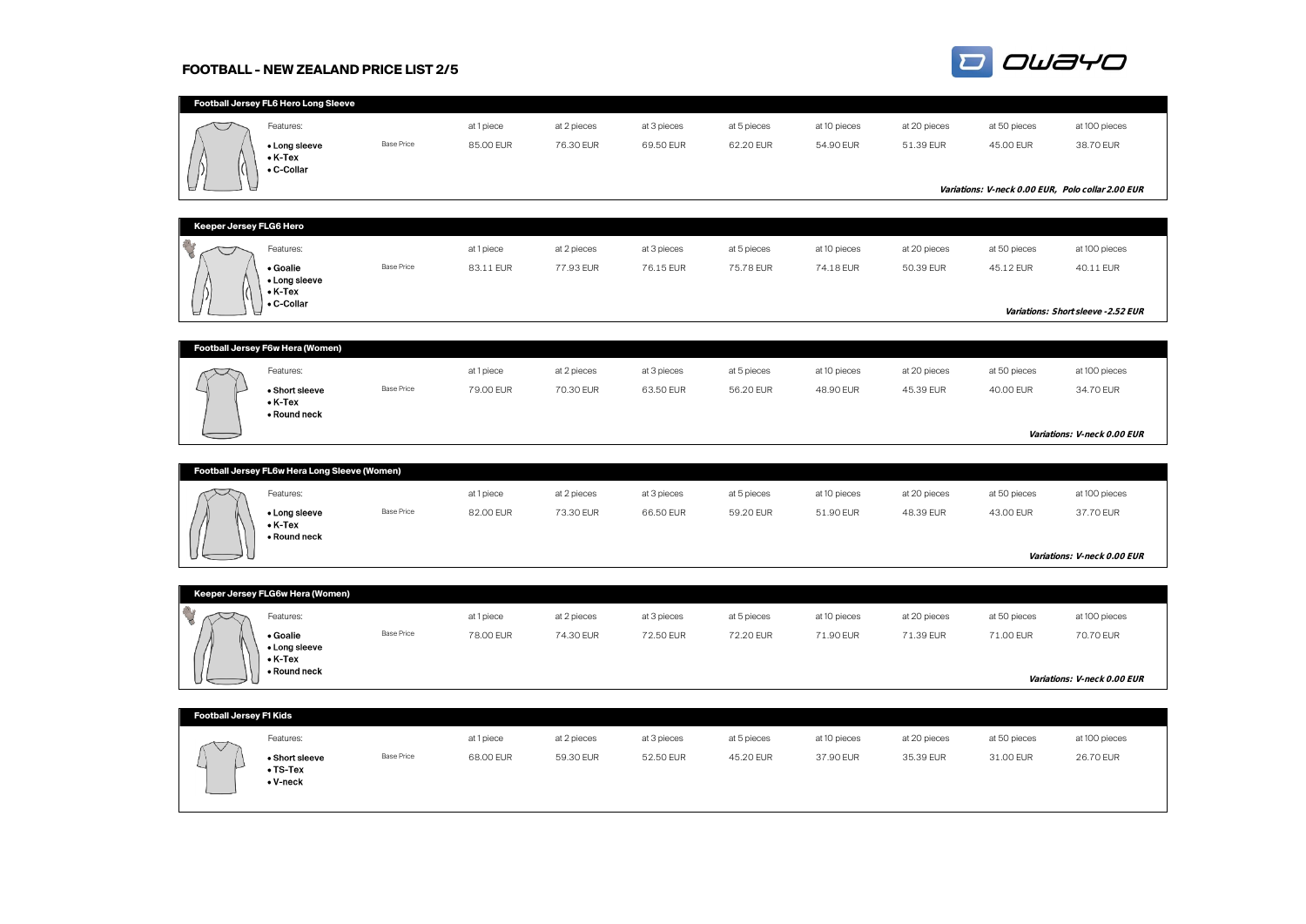# **FOOTBALL - NEW ZEALAND PRICE LIST 2/5**



|                         | Football Jersey FL6 Hero Long Sleeve          |                   |            |             |             |             |              |              |              |                                                   |
|-------------------------|-----------------------------------------------|-------------------|------------|-------------|-------------|-------------|--------------|--------------|--------------|---------------------------------------------------|
|                         | Features:                                     |                   | at 1 piece | at 2 pieces | at 3 pieces | at 5 pieces | at 10 pieces | at 20 pieces | at 50 pieces | at 100 pieces                                     |
|                         | • Long sleeve                                 | <b>Base Price</b> | 85.00 EUR  | 76.30 EUR   | 69.50 EUR   | 62.20 EUR   | 54.90 EUR    | 51.39 EUR    | 45.00 EUR    | 38.70 EUR                                         |
|                         | $\bullet$ K-Tex                               |                   |            |             |             |             |              |              |              |                                                   |
|                         | • C-Collar                                    |                   |            |             |             |             |              |              |              |                                                   |
|                         |                                               |                   |            |             |             |             |              |              |              | Variations: V-neck 0.00 EUR, Polo collar 2.00 EUR |
|                         |                                               |                   |            |             |             |             |              |              |              |                                                   |
| Keeper Jersey FLG6 Hero |                                               |                   |            |             |             |             |              |              |              |                                                   |
| U                       | Features:                                     |                   | at 1 piece | at 2 pieces | at 3 pieces | at 5 pieces | at 10 pieces | at 20 pieces | at 50 pieces | at 100 pieces                                     |
|                         | • Goalie                                      | <b>Base Price</b> | 83.11 EUR  | 77.93 EUR   | 76.15 EUR   | 75.78 EUR   | 74.18 EUR    | 50.39 EUR    | 45.12 EUR    | 40.11 EUR                                         |
|                         | • Long sleeve<br>$\bullet$ K-Tex              |                   |            |             |             |             |              |              |              |                                                   |
|                         | • C-Collar                                    |                   |            |             |             |             |              |              |              | Variations: Short sleeve -2.52 EUR                |
|                         |                                               |                   |            |             |             |             |              |              |              |                                                   |
|                         | Football Jersey F6w Hera (Women)              |                   |            |             |             |             |              |              |              |                                                   |
|                         | Features:                                     |                   | at 1 piece | at 2 pieces | at 3 pieces | at 5 pieces | at 10 pieces | at 20 pieces | at 50 pieces | at 100 pieces                                     |
|                         | • Short sleeve                                | <b>Base Price</b> | 79.00 EUR  | 70.30 EUR   | 63.50 EUR   | 56.20 EUR   | 48.90 EUR    | 45.39 EUR    | 40.00 EUR    | 34.70 EUR                                         |
|                         | $\bullet$ K-Tex                               |                   |            |             |             |             |              |              |              |                                                   |
|                         | • Round neck                                  |                   |            |             |             |             |              |              |              |                                                   |
|                         |                                               |                   |            |             |             |             |              |              |              | Variations: V-neck 0.00 EUR                       |
|                         |                                               |                   |            |             |             |             |              |              |              |                                                   |
|                         | Football Jersey FL6w Hera Long Sleeve (Women) |                   |            |             |             |             |              |              |              |                                                   |
|                         | Features:                                     |                   | at 1 piece | at 2 pieces | at 3 pieces | at 5 pieces | at 10 pieces | at 20 pieces | at 50 pieces | at 100 pieces                                     |
|                         | • Long sleeve<br>$\bullet$ K-Tex              | <b>Base Price</b> | 82.00 EUR  | 73.30 EUR   | 66.50 EUR   | 59.20 EUR   | 51.90 EUR    | 48.39 EUR    | 43.00 EUR    | 37.70 EUR                                         |
|                         | • Round neck                                  |                   |            |             |             |             |              |              |              |                                                   |
|                         |                                               |                   |            |             |             |             |              |              |              | Variations: V-neck 0.00 EUR                       |
|                         |                                               |                   |            |             |             |             |              |              |              |                                                   |
|                         | Keeper Jersey FLG6w Hera (Women)              |                   |            |             |             |             |              |              |              |                                                   |
|                         | Features:                                     |                   | at 1 piece | at 2 pieces | at 3 pieces | at 5 pieces | at 10 pieces | at 20 pieces | at 50 pieces | at 100 pieces                                     |
|                         | • Goalie                                      | <b>Base Price</b> | 78.00 EUR  | 74.30 EUR   | 72.50 EUR   | 72.20 EUR   | 71.90 EUR    | 71.39 EUR    | 71.00 EUR    | 70.70 EUR                                         |
|                         | • Long sleeve<br>$\bullet$ K-Tex              |                   |            |             |             |             |              |              |              |                                                   |
|                         | • Round neck                                  |                   |            |             |             |             |              |              |              |                                                   |
|                         |                                               |                   |            |             |             |             |              |              |              | Variations: V-neck 0.00 EUR                       |
| Football Jersey F1 Kids |                                               |                   |            |             |             |             |              |              |              |                                                   |
|                         |                                               |                   |            |             |             |             |              |              |              |                                                   |
|                         | Features:                                     |                   | at 1 piece | at 2 pieces | at 3 pieces | at 5 pieces | at 10 pieces | at 20 pieces | at 50 pieces | at 100 pieces                                     |
|                         | • Short sleeve<br>$\bullet$ TS-Tex            | <b>Base Price</b> | 68.00 EUR  | 59.30 EUR   | 52.50 EUR   | 45.20 EUR   | 37.90 EUR    | 35.39 EUR    | 31.00 EUR    | 26.70 EUR                                         |
|                         | $\bullet$ V-neck                              |                   |            |             |             |             |              |              |              |                                                   |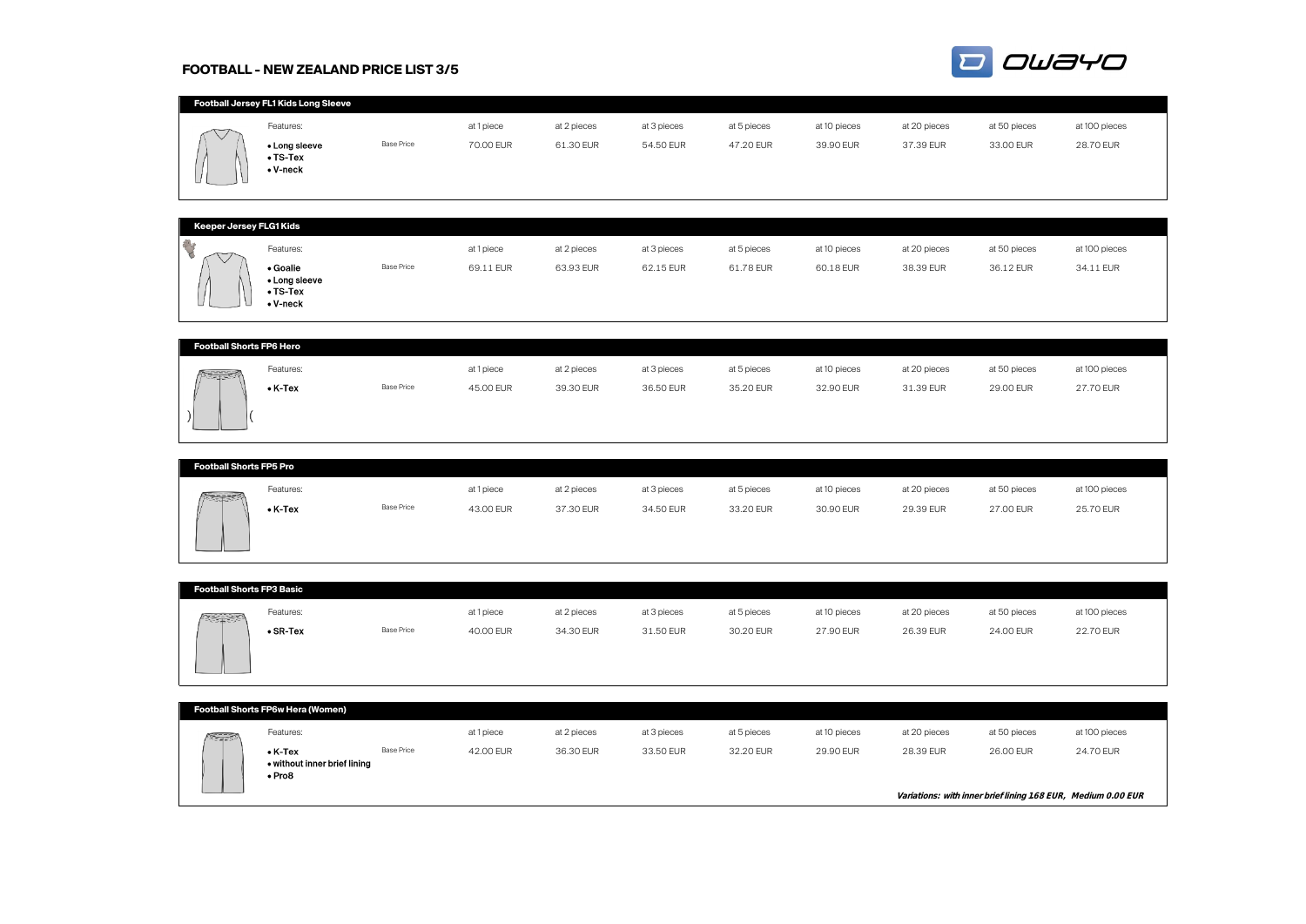# **FOOTBALL - NEW ZEALAND PRICE LIST 3/5**



|                                 | Football Jersey FL1 Kids Long Sleeve |                   |            |             |             |             |              |              |              |               |
|---------------------------------|--------------------------------------|-------------------|------------|-------------|-------------|-------------|--------------|--------------|--------------|---------------|
|                                 | Features:                            |                   | at 1 piece | at 2 pieces | at 3 pieces | at 5 pieces | at 10 pieces | at 20 pieces | at 50 pieces | at 100 pieces |
|                                 | • Long sleeve<br>$\bullet$ TS-Tex    | <b>Base Price</b> | 70.00 EUR  | 61.30 EUR   | 54.50 EUR   | 47.20 EUR   | 39.90 EUR    | 37.39 EUR    | 33.00 EUR    | 28.70 EUR     |
|                                 | $\bullet$ V-neck                     |                   |            |             |             |             |              |              |              |               |
|                                 |                                      |                   |            |             |             |             |              |              |              |               |
|                                 |                                      |                   |            |             |             |             |              |              |              |               |
| Keeper Jersey FLG1 Kids         |                                      |                   |            |             |             |             |              |              |              |               |
| Y                               | Features:                            |                   | at 1 piece | at 2 pieces | at 3 pieces | at 5 pieces | at 10 pieces | at 20 pieces | at 50 pieces | at 100 pieces |
|                                 | • Goalie<br>• Long sleeve            | <b>Base Price</b> | 69.11 EUR  | 63.93 EUR   | 62.15 EUR   | 61.78 EUR   | 60.18 EUR    | 38.39 EUR    | 36.12 EUR    | 34.11 EUR     |
|                                 | $\bullet$ TS-Tex                     |                   |            |             |             |             |              |              |              |               |
|                                 | $\bullet$ V-neck                     |                   |            |             |             |             |              |              |              |               |
|                                 |                                      |                   |            |             |             |             |              |              |              |               |
| <b>Football Shorts FP6 Hero</b> |                                      |                   |            |             |             |             |              |              |              |               |
|                                 | Features:                            |                   | at 1 piece | at 2 pieces | at 3 pieces | at 5 pieces | at 10 pieces | at 20 pieces | at 50 pieces | at 100 pieces |
|                                 | $\bullet$ K-Tex                      | <b>Base Price</b> | 45.00 EUR  | 39.30 EUR   | 36.50 EUR   | 35.20 EUR   | 32.90 EUR    | 31.39 EUR    | 29.00 EUR    | 27.70 EUR     |
|                                 |                                      |                   |            |             |             |             |              |              |              |               |
|                                 |                                      |                   |            |             |             |             |              |              |              |               |
|                                 |                                      |                   |            |             |             |             |              |              |              |               |
| <b>Football Shorts FP5 Pro</b>  |                                      |                   |            |             |             |             |              |              |              |               |
|                                 | Features:                            |                   | at 1 piece | at 2 pieces | at 3 pieces | at 5 pieces | at 10 pieces | at 20 pieces | at 50 pieces | at 100 pieces |
|                                 | $\bullet$ K-Tex                      | <b>Base Price</b> | 43.00 EUR  | 37.30 EUR   | 34.50 EUR   | 33.20 EUR   | 30.90 EUR    | 29.39 EUR    | 27.00 EUR    | 25.70 EUR     |

| <b>Football Shorts FP3 Basic</b> |                  |                   |            |             |             |             |              |              |              |               |
|----------------------------------|------------------|-------------------|------------|-------------|-------------|-------------|--------------|--------------|--------------|---------------|
| $\sqrt{2}$                       | Features:        |                   | at 1 piece | at 2 pieces | at 3 pieces | at 5 pieces | at 10 pieces | at 20 pieces | at 50 pieces | at 100 pieces |
|                                  | $\bullet$ SR-Tex | <b>Base Price</b> | 40.00 EUR  | 34.30 EUR   | 31.50 EUR   | 30.20 EUR   | 27.90 EUR    | 26.39 EUR    | 24.00 EUR    | 22.70 EUR     |

|               | Football Shorts FP6w Hera (Women)                               |                   |            |             |             |             |              |              |                                                               |               |
|---------------|-----------------------------------------------------------------|-------------------|------------|-------------|-------------|-------------|--------------|--------------|---------------------------------------------------------------|---------------|
| <b>The Co</b> | Features:                                                       |                   | at 1 piece | at 2 pieces | at 3 pieces | at 5 pieces | at 10 pieces | at 20 pieces | at 50 pieces                                                  | at 100 pieces |
|               | $\bullet$ K-Tex<br>• without inner brief lining<br>$\cdot$ Pro8 | <b>Base Price</b> | 42.00 EUR  | 36.30 EUR   | 33.50 EUR   | 32.20 EUR   | 29.90 EUR    | 28.39 EUR    | 26.00 EUR                                                     | 24.70 EUR     |
|               |                                                                 |                   |            |             |             |             |              |              | Variations: with inner brief lining 1.68 EUR, Medium 0.00 EUR |               |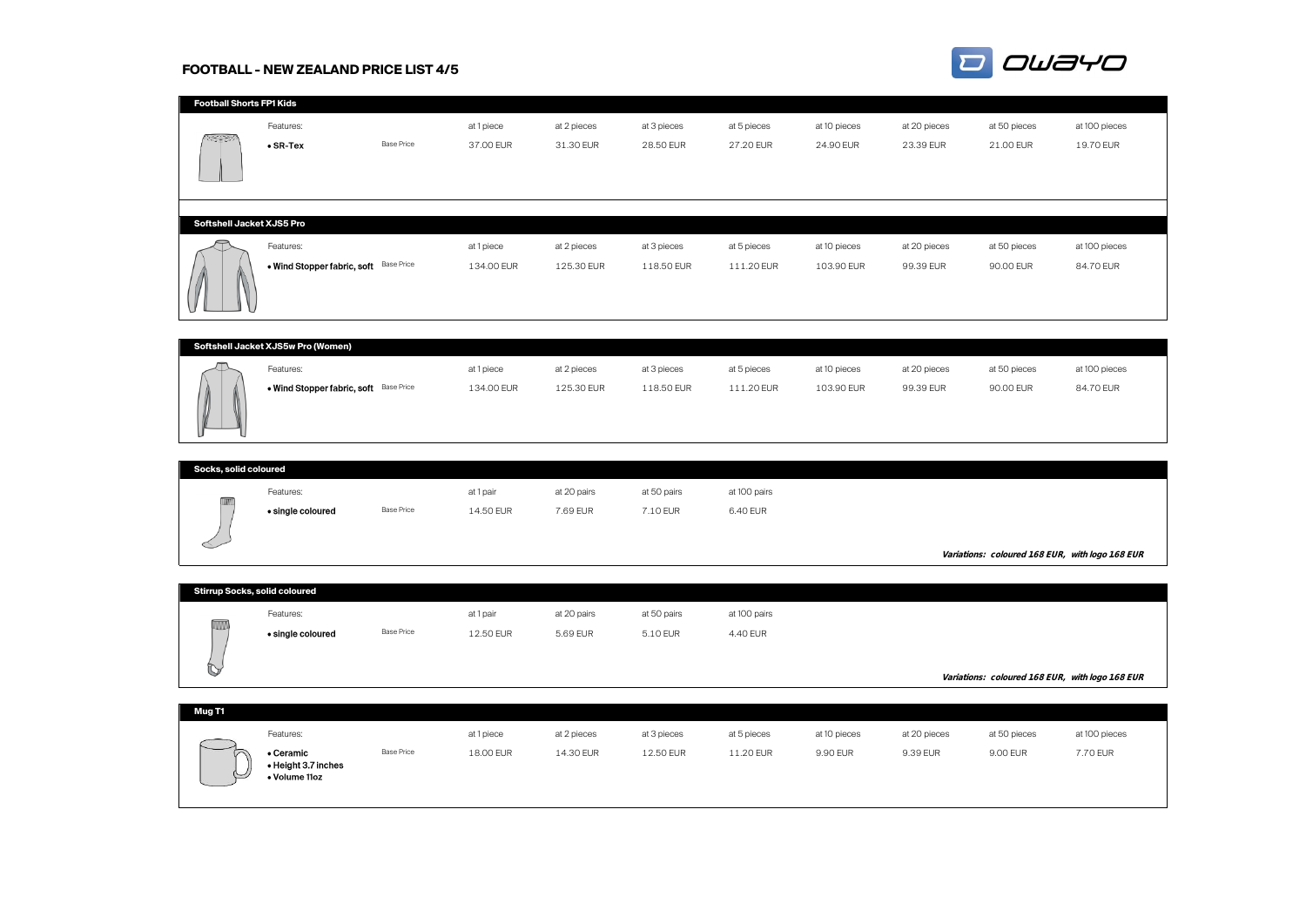# **FOOTBALL - NEW ZEALAND PRICE LIST 4/5**



| <b>Football Shorts FP1 Kids</b> |                                        |                   |            |             |             |             |              |              |              |               |
|---------------------------------|----------------------------------------|-------------------|------------|-------------|-------------|-------------|--------------|--------------|--------------|---------------|
|                                 | Features:                              |                   | at 1 piece | at 2 pieces | at 3 pieces | at 5 pieces | at 10 pieces | at 20 pieces | at 50 pieces | at 100 pieces |
| 网络花科                            | $\bullet$ SR-Tex                       | <b>Base Price</b> | 37.00 EUR  | 31.30 EUR   | 28.50 EUR   | 27.20 EUR   | 24.90 EUR    | 23.39 EUR    | 21.00 EUR    | 19.70 EUR     |
|                                 |                                        |                   |            |             |             |             |              |              |              |               |
| Softshell Jacket XJS5 Pro       |                                        |                   |            |             |             |             |              |              |              |               |
| $\Rightarrow$                   | Features:                              |                   | at 1 piece | at 2 pieces | at 3 pieces | at 5 pieces | at 10 pieces | at 20 pieces | at 50 pieces | at 100 pieces |
|                                 | . Wind Stopper fabric, soft Base Price |                   | 134.00 EUR | 125.30 EUR  | 118.50 EUR  | 111.20 EUR  | 103.90 EUR   | 99.39 EUR    | 90.00 EUR    | 84.70 EUR     |

| Softshell Jacket XJS5w Pro (Women)     |            |             |             |             |              |              |              |               |
|----------------------------------------|------------|-------------|-------------|-------------|--------------|--------------|--------------|---------------|
| Features:                              | at 1 piece | at 2 pieces | at 3 pieces | at 5 pieces | at 10 pieces | at 20 pieces | at 50 pieces | at 100 pieces |
| . Wind Stopper fabric, soft Base Price | 134.00 EUR | 125.30 EUR  | 118.50 EUR  | 111.20 EUR  | 103.90 EUR   | 99.39 EUR    | 90.00 EUR    | 84.70 EUR     |

|          | Socks, solid coloured |                   |           |             |             |              |  |                                                   |  |  |  |
|----------|-----------------------|-------------------|-----------|-------------|-------------|--------------|--|---------------------------------------------------|--|--|--|
| $\equiv$ | Features:             |                   | at 1 pair | at 20 pairs | at 50 pairs | at 100 pairs |  |                                                   |  |  |  |
|          | • single coloured     | <b>Base Price</b> | 14.50 EUR | 7.69 EUR    | 7.10 EUR    | 6.40 EUR     |  |                                                   |  |  |  |
|          |                       |                   |           |             |             |              |  | Variations: coloured 1.68 EUR, with logo 1.68 EUR |  |  |  |

|                 | <b>Stirrup Socks, solid coloured</b> |                   |           |             |             |              |                                                   |
|-----------------|--------------------------------------|-------------------|-----------|-------------|-------------|--------------|---------------------------------------------------|
| <b>TRANSLER</b> | Features:                            |                   | at 1 pair | at 20 pairs | at 50 pairs | at 100 pairs |                                                   |
| ,,,,,,,,,,<br>O | • single coloured                    | <b>Base Price</b> | 12.50 EUR | 5.69 EUR    | 5.10 EUR    | 4.40 EUR     | Variations: coloured 1.68 EUR, with logo 1.68 EUR |
|                 |                                      |                   |           |             |             |              |                                                   |

| Mug T1   |                                                   |                   |            |             |             |             |              |              |              |               |
|----------|---------------------------------------------------|-------------------|------------|-------------|-------------|-------------|--------------|--------------|--------------|---------------|
|          | Features:                                         |                   | at 1 piece | at 2 pieces | at 3 pieces | at 5 pieces | at 10 pieces | at 20 pieces | at 50 pieces | at 100 pieces |
| $\asymp$ | • Ceramic<br>• Height 3.7 inches<br>• Volume 11oz | <b>Base Price</b> | 18.00 EUR  | 14.30 EUR   | 12.50 EUR   | 11.20 EUR   | 9.90 EUR     | 9.39 EUR     | 9.00 EUR     | 7.70 EUR      |